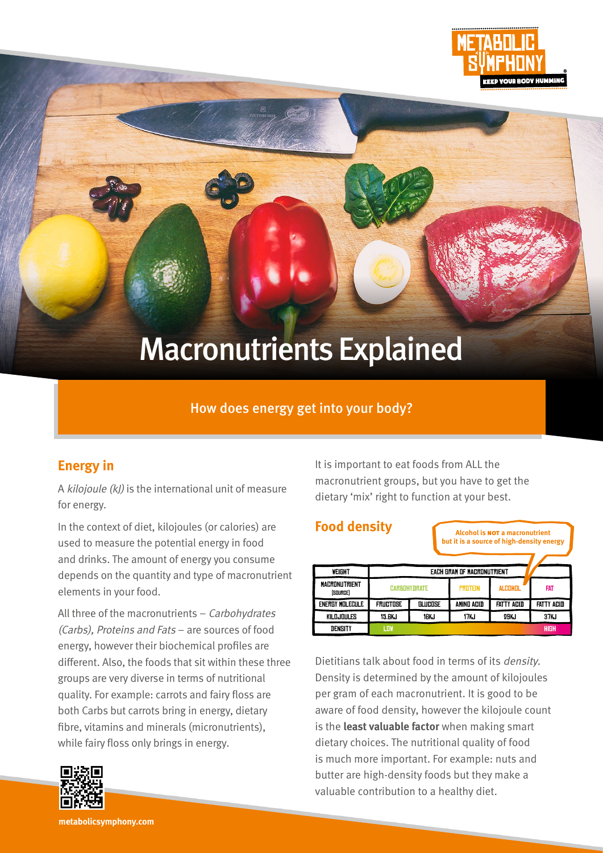

# Macronutrients Explained

#### How does energy get into your body?

#### **Energy in**

A kilojoule (kJ) is the international unit of measure for energy.

In the context of diet, kilojoules (or calories) are used to measure the potential energy in food and drinks. The amount of energy you consume depends on the quantity and type of macronutrient elements in your food.

All three of the macronutrients – Carbohydrates (Carbs), Proteins and Fats – are sources of food energy, however their biochemical profiles are different. Also, the foods that sit within these three groups are very diverse in terms of nutritional quality. For example: carrots and fairy floss are both Carbs but carrots bring in energy, dietary fibre, vitamins and minerals (micronutrients), while fairy floss only brings in energy.



It is important to eat foods from ALL the macronutrient groups, but you have to get the dietary 'mix' right to function at your best.

#### **Food density**

| 000000000000                     |                            |         | <b>Alcohol is NOT a macronutrient</b><br>but it is a source of high-density energy |                   |                   |
|----------------------------------|----------------------------|---------|------------------------------------------------------------------------------------|-------------------|-------------------|
| WEIGHT                           | EACH GRAM OF MACRONUTRIENT |         |                                                                                    |                   |                   |
| <b>MACRONUTRIENT</b><br>[SOURCE] | <b>CARBOHYDRATE</b>        |         | <b>PROTEIN</b>                                                                     | <b>ALCOHOL</b>    | <b>FAT</b>        |
| energy molecule                  | <b>FRUCTOSE</b>            | GLUCOSE | AMIND ACID                                                                         | <b>FATTY ACID</b> | <b>FATTY ACID</b> |
| KILDJOULES                       | 15.GKJ                     | 16KJ    | 17KJ                                                                               | 29KJ              | 37KJ              |
| DENSITY                          | <b>LOW</b>                 |         |                                                                                    |                   | <b>HIGH</b>       |

Dietitians talk about food in terms of its density. Density is determined by the amount of kilojoules per gram of each macronutrient. It is good to be aware of food density, however the kilojoule count is the **least valuable factor** when making smart dietary choices. The nutritional quality of food is much more important. For example: nuts and butter are high-density foods but they make a valuable contribution to a healthy diet.